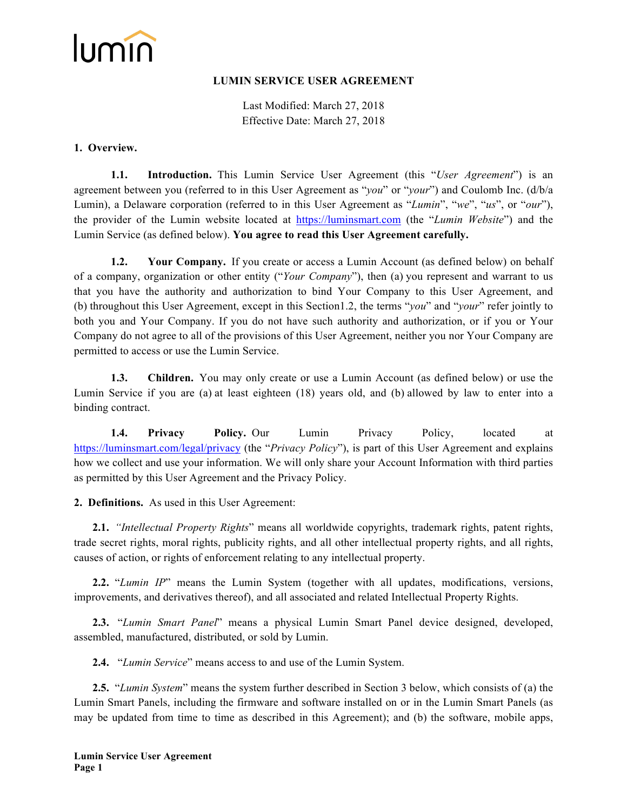

#### **LUMIN SERVICE USER AGREEMENT**

Last Modified: March 27, 2018 Effective Date: March 27, 2018

#### **1. Overview.**

**1.1. Introduction.** This Lumin Service User Agreement (this "*User Agreement*") is an agreement between you (referred to in this User Agreement as "*you*" or "*your*") and Coulomb Inc. (d/b/a Lumin), a Delaware corporation (referred to in this User Agreement as "*Lumin*", "*we*", "*us*", or "*our*"), the provider of the Lumin website located at https://luminsmart.com (the "*Lumin Website*") and the Lumin Service (as defined below). **You agree to read this User Agreement carefully.**

**1.2. Your Company.** If you create or access a Lumin Account (as defined below) on behalf of a company, organization or other entity ("*Your Company*"), then (a) you represent and warrant to us that you have the authority and authorization to bind Your Company to this User Agreement, and (b) throughout this User Agreement, except in this Section1.2, the terms "*you*" and "*your*" refer jointly to both you and Your Company. If you do not have such authority and authorization, or if you or Your Company do not agree to all of the provisions of this User Agreement, neither you nor Your Company are permitted to access or use the Lumin Service.

**1.3. Children.** You may only create or use a Lumin Account (as defined below) or use the Lumin Service if you are (a) at least eighteen (18) years old, and (b) allowed by law to enter into a binding contract.

**1.4. Privacy Policy.** Our Lumin Privacy Policy, located at https://luminsmart.com/legal/privacy (the "*Privacy Policy*"), is part of this User Agreement and explains how we collect and use your information. We will only share your Account Information with third parties as permitted by this User Agreement and the Privacy Policy.

**2. Definitions.** As used in this User Agreement:

**2.1.** *"Intellectual Property Rights*" means all worldwide copyrights, trademark rights, patent rights, trade secret rights, moral rights, publicity rights, and all other intellectual property rights, and all rights, causes of action, or rights of enforcement relating to any intellectual property.

**2.2.** "*Lumin IP*" means the Lumin System (together with all updates, modifications, versions, improvements, and derivatives thereof), and all associated and related Intellectual Property Rights.

**2.3.** "*Lumin Smart Panel*" means a physical Lumin Smart Panel device designed, developed, assembled, manufactured, distributed, or sold by Lumin.

**2.4.** "*Lumin Service*" means access to and use of the Lumin System.

**2.5.** "*Lumin System*" means the system further described in Section 3 below, which consists of (a) the Lumin Smart Panels, including the firmware and software installed on or in the Lumin Smart Panels (as may be updated from time to time as described in this Agreement); and (b) the software, mobile apps,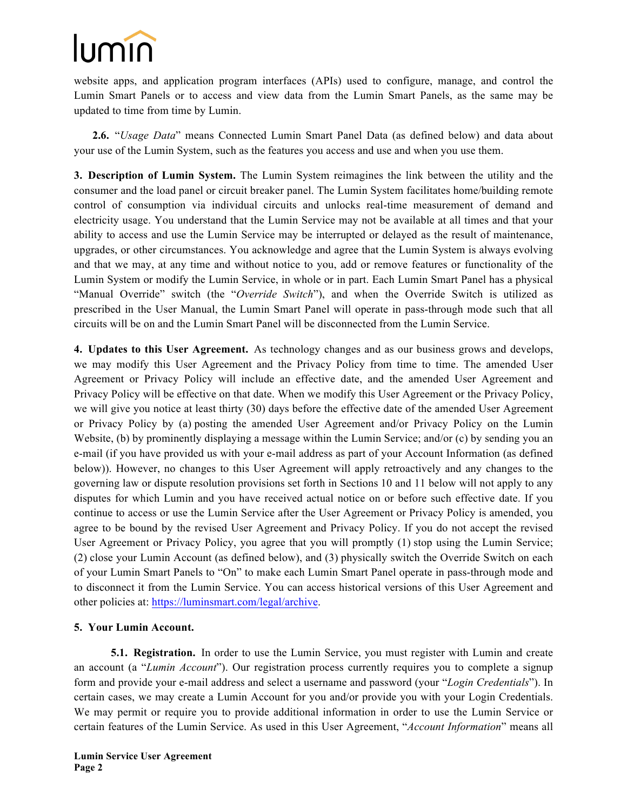website apps, and application program interfaces (APIs) used to configure, manage, and control the Lumin Smart Panels or to access and view data from the Lumin Smart Panels, as the same may be updated to time from time by Lumin.

**2.6.** "*Usage Data*" means Connected Lumin Smart Panel Data (as defined below) and data about your use of the Lumin System, such as the features you access and use and when you use them.

**3. Description of Lumin System.** The Lumin System reimagines the link between the utility and the consumer and the load panel or circuit breaker panel. The Lumin System facilitates home/building remote control of consumption via individual circuits and unlocks real-time measurement of demand and electricity usage. You understand that the Lumin Service may not be available at all times and that your ability to access and use the Lumin Service may be interrupted or delayed as the result of maintenance, upgrades, or other circumstances. You acknowledge and agree that the Lumin System is always evolving and that we may, at any time and without notice to you, add or remove features or functionality of the Lumin System or modify the Lumin Service, in whole or in part. Each Lumin Smart Panel has a physical "Manual Override" switch (the "*Override Switch*"), and when the Override Switch is utilized as prescribed in the User Manual, the Lumin Smart Panel will operate in pass-through mode such that all circuits will be on and the Lumin Smart Panel will be disconnected from the Lumin Service.

**4. Updates to this User Agreement.** As technology changes and as our business grows and develops, we may modify this User Agreement and the Privacy Policy from time to time. The amended User Agreement or Privacy Policy will include an effective date, and the amended User Agreement and Privacy Policy will be effective on that date. When we modify this User Agreement or the Privacy Policy, we will give you notice at least thirty (30) days before the effective date of the amended User Agreement or Privacy Policy by (a) posting the amended User Agreement and/or Privacy Policy on the Lumin Website, (b) by prominently displaying a message within the Lumin Service; and/or (c) by sending you an e-mail (if you have provided us with your e-mail address as part of your Account Information (as defined below)). However, no changes to this User Agreement will apply retroactively and any changes to the governing law or dispute resolution provisions set forth in Sections 10 and 11 below will not apply to any disputes for which Lumin and you have received actual notice on or before such effective date. If you continue to access or use the Lumin Service after the User Agreement or Privacy Policy is amended, you agree to be bound by the revised User Agreement and Privacy Policy. If you do not accept the revised User Agreement or Privacy Policy, you agree that you will promptly (1) stop using the Lumin Service; (2) close your Lumin Account (as defined below), and (3) physically switch the Override Switch on each of your Lumin Smart Panels to "On" to make each Lumin Smart Panel operate in pass-through mode and to disconnect it from the Lumin Service. You can access historical versions of this User Agreement and other policies at: https://luminsmart.com/legal/archive.

### **5. Your Lumin Account.**

**5.1. Registration.** In order to use the Lumin Service, you must register with Lumin and create an account (a "*Lumin Account*"). Our registration process currently requires you to complete a signup form and provide your e-mail address and select a username and password (your "*Login Credentials*"). In certain cases, we may create a Lumin Account for you and/or provide you with your Login Credentials. We may permit or require you to provide additional information in order to use the Lumin Service or certain features of the Lumin Service. As used in this User Agreement, "*Account Information*" means all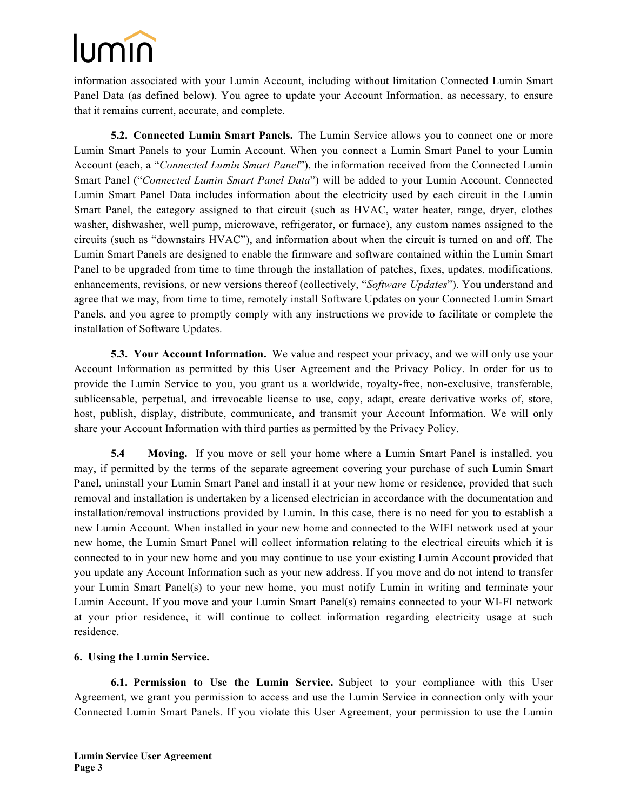information associated with your Lumin Account, including without limitation Connected Lumin Smart Panel Data (as defined below). You agree to update your Account Information, as necessary, to ensure that it remains current, accurate, and complete.

**5.2. Connected Lumin Smart Panels.** The Lumin Service allows you to connect one or more Lumin Smart Panels to your Lumin Account. When you connect a Lumin Smart Panel to your Lumin Account (each, a "*Connected Lumin Smart Panel*"), the information received from the Connected Lumin Smart Panel ("*Connected Lumin Smart Panel Data*") will be added to your Lumin Account. Connected Lumin Smart Panel Data includes information about the electricity used by each circuit in the Lumin Smart Panel, the category assigned to that circuit (such as HVAC, water heater, range, dryer, clothes washer, dishwasher, well pump, microwave, refrigerator, or furnace), any custom names assigned to the circuits (such as "downstairs HVAC"), and information about when the circuit is turned on and off. The Lumin Smart Panels are designed to enable the firmware and software contained within the Lumin Smart Panel to be upgraded from time to time through the installation of patches, fixes, updates, modifications, enhancements, revisions, or new versions thereof (collectively, "*Software Updates*"). You understand and agree that we may, from time to time, remotely install Software Updates on your Connected Lumin Smart Panels, and you agree to promptly comply with any instructions we provide to facilitate or complete the installation of Software Updates.

**5.3. Your Account Information.** We value and respect your privacy, and we will only use your Account Information as permitted by this User Agreement and the Privacy Policy. In order for us to provide the Lumin Service to you, you grant us a worldwide, royalty-free, non-exclusive, transferable, sublicensable, perpetual, and irrevocable license to use, copy, adapt, create derivative works of, store, host, publish, display, distribute, communicate, and transmit your Account Information. We will only share your Account Information with third parties as permitted by the Privacy Policy.

**5.4 Moving.** If you move or sell your home where a Lumin Smart Panel is installed, you may, if permitted by the terms of the separate agreement covering your purchase of such Lumin Smart Panel, uninstall your Lumin Smart Panel and install it at your new home or residence, provided that such removal and installation is undertaken by a licensed electrician in accordance with the documentation and installation/removal instructions provided by Lumin. In this case, there is no need for you to establish a new Lumin Account. When installed in your new home and connected to the WIFI network used at your new home, the Lumin Smart Panel will collect information relating to the electrical circuits which it is connected to in your new home and you may continue to use your existing Lumin Account provided that you update any Account Information such as your new address. If you move and do not intend to transfer your Lumin Smart Panel(s) to your new home, you must notify Lumin in writing and terminate your Lumin Account. If you move and your Lumin Smart Panel(s) remains connected to your WI-FI network at your prior residence, it will continue to collect information regarding electricity usage at such residence.

### **6. Using the Lumin Service.**

**6.1. Permission to Use the Lumin Service.** Subject to your compliance with this User Agreement, we grant you permission to access and use the Lumin Service in connection only with your Connected Lumin Smart Panels. If you violate this User Agreement, your permission to use the Lumin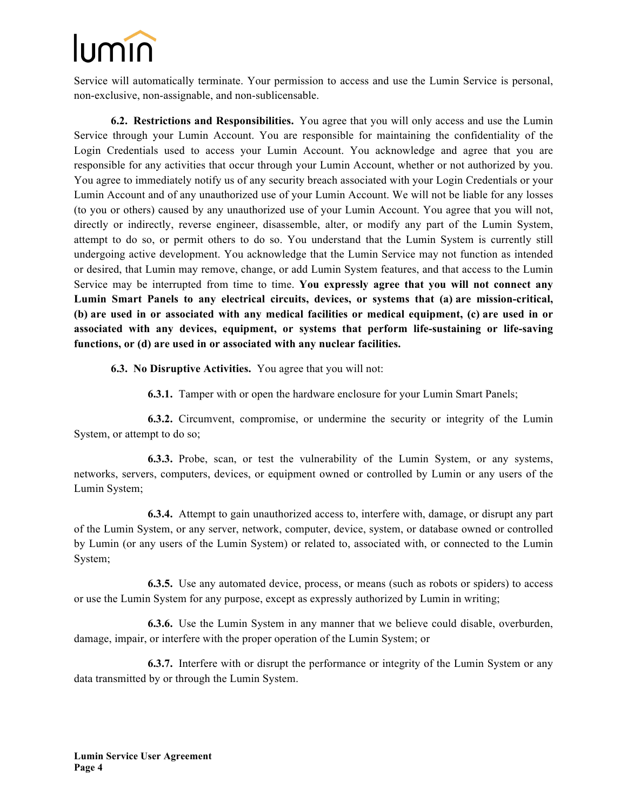Service will automatically terminate. Your permission to access and use the Lumin Service is personal, non-exclusive, non-assignable, and non-sublicensable.

**6.2. Restrictions and Responsibilities.** You agree that you will only access and use the Lumin Service through your Lumin Account. You are responsible for maintaining the confidentiality of the Login Credentials used to access your Lumin Account. You acknowledge and agree that you are responsible for any activities that occur through your Lumin Account, whether or not authorized by you. You agree to immediately notify us of any security breach associated with your Login Credentials or your Lumin Account and of any unauthorized use of your Lumin Account. We will not be liable for any losses (to you or others) caused by any unauthorized use of your Lumin Account. You agree that you will not, directly or indirectly, reverse engineer, disassemble, alter, or modify any part of the Lumin System, attempt to do so, or permit others to do so. You understand that the Lumin System is currently still undergoing active development. You acknowledge that the Lumin Service may not function as intended or desired, that Lumin may remove, change, or add Lumin System features, and that access to the Lumin Service may be interrupted from time to time. **You expressly agree that you will not connect any Lumin Smart Panels to any electrical circuits, devices, or systems that (a) are mission-critical, (b) are used in or associated with any medical facilities or medical equipment, (c) are used in or associated with any devices, equipment, or systems that perform life-sustaining or life-saving functions, or (d) are used in or associated with any nuclear facilities.**

**6.3. No Disruptive Activities.** You agree that you will not:

**6.3.1.** Tamper with or open the hardware enclosure for your Lumin Smart Panels;

**6.3.2.** Circumvent, compromise, or undermine the security or integrity of the Lumin System, or attempt to do so;

**6.3.3.** Probe, scan, or test the vulnerability of the Lumin System, or any systems, networks, servers, computers, devices, or equipment owned or controlled by Lumin or any users of the Lumin System;

**6.3.4.** Attempt to gain unauthorized access to, interfere with, damage, or disrupt any part of the Lumin System, or any server, network, computer, device, system, or database owned or controlled by Lumin (or any users of the Lumin System) or related to, associated with, or connected to the Lumin System;

**6.3.5.** Use any automated device, process, or means (such as robots or spiders) to access or use the Lumin System for any purpose, except as expressly authorized by Lumin in writing;

**6.3.6.** Use the Lumin System in any manner that we believe could disable, overburden, damage, impair, or interfere with the proper operation of the Lumin System; or

**6.3.7.** Interfere with or disrupt the performance or integrity of the Lumin System or any data transmitted by or through the Lumin System.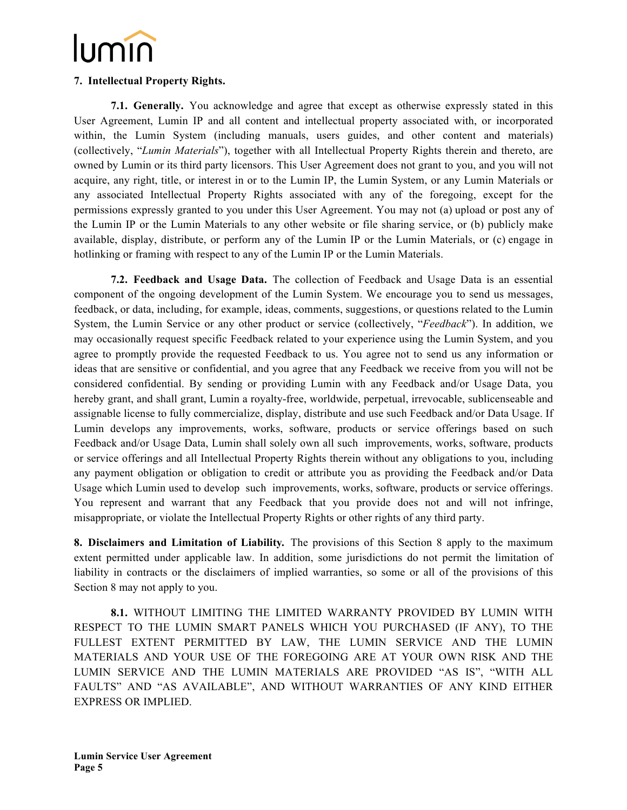### **7. Intellectual Property Rights.**

**7.1. Generally.** You acknowledge and agree that except as otherwise expressly stated in this User Agreement, Lumin IP and all content and intellectual property associated with, or incorporated within, the Lumin System (including manuals, users guides, and other content and materials) (collectively, "*Lumin Materials*"), together with all Intellectual Property Rights therein and thereto, are owned by Lumin or its third party licensors. This User Agreement does not grant to you, and you will not acquire, any right, title, or interest in or to the Lumin IP, the Lumin System, or any Lumin Materials or any associated Intellectual Property Rights associated with any of the foregoing, except for the permissions expressly granted to you under this User Agreement. You may not (a) upload or post any of the Lumin IP or the Lumin Materials to any other website or file sharing service, or (b) publicly make available, display, distribute, or perform any of the Lumin IP or the Lumin Materials, or (c) engage in hotlinking or framing with respect to any of the Lumin IP or the Lumin Materials.

**7.2. Feedback and Usage Data.** The collection of Feedback and Usage Data is an essential component of the ongoing development of the Lumin System. We encourage you to send us messages, feedback, or data, including, for example, ideas, comments, suggestions, or questions related to the Lumin System, the Lumin Service or any other product or service (collectively, "*Feedback*"). In addition, we may occasionally request specific Feedback related to your experience using the Lumin System, and you agree to promptly provide the requested Feedback to us. You agree not to send us any information or ideas that are sensitive or confidential, and you agree that any Feedback we receive from you will not be considered confidential. By sending or providing Lumin with any Feedback and/or Usage Data, you hereby grant, and shall grant, Lumin a royalty-free, worldwide, perpetual, irrevocable, sublicenseable and assignable license to fully commercialize, display, distribute and use such Feedback and/or Data Usage. If Lumin develops any improvements, works, software, products or service offerings based on such Feedback and/or Usage Data, Lumin shall solely own all such improvements, works, software, products or service offerings and all Intellectual Property Rights therein without any obligations to you, including any payment obligation or obligation to credit or attribute you as providing the Feedback and/or Data Usage which Lumin used to develop such improvements, works, software, products or service offerings. You represent and warrant that any Feedback that you provide does not and will not infringe, misappropriate, or violate the Intellectual Property Rights or other rights of any third party.

**8. Disclaimers and Limitation of Liability***.* The provisions of this Section 8 apply to the maximum extent permitted under applicable law. In addition, some jurisdictions do not permit the limitation of liability in contracts or the disclaimers of implied warranties, so some or all of the provisions of this Section 8 may not apply to you.

**8.1.** WITHOUT LIMITING THE LIMITED WARRANTY PROVIDED BY LUMIN WITH RESPECT TO THE LUMIN SMART PANELS WHICH YOU PURCHASED (IF ANY), TO THE FULLEST EXTENT PERMITTED BY LAW, THE LUMIN SERVICE AND THE LUMIN MATERIALS AND YOUR USE OF THE FOREGOING ARE AT YOUR OWN RISK AND THE LUMIN SERVICE AND THE LUMIN MATERIALS ARE PROVIDED "AS IS", "WITH ALL FAULTS" AND "AS AVAILABLE", AND WITHOUT WARRANTIES OF ANY KIND EITHER EXPRESS OR IMPLIED.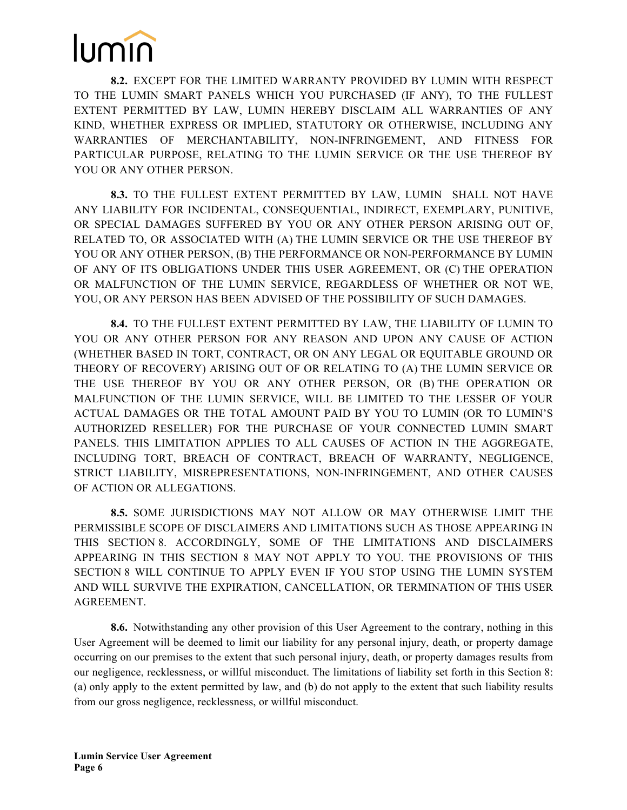**8.2.** EXCEPT FOR THE LIMITED WARRANTY PROVIDED BY LUMIN WITH RESPECT TO THE LUMIN SMART PANELS WHICH YOU PURCHASED (IF ANY), TO THE FULLEST EXTENT PERMITTED BY LAW, LUMIN HEREBY DISCLAIM ALL WARRANTIES OF ANY KIND, WHETHER EXPRESS OR IMPLIED, STATUTORY OR OTHERWISE, INCLUDING ANY WARRANTIES OF MERCHANTABILITY, NON-INFRINGEMENT, AND FITNESS FOR PARTICULAR PURPOSE, RELATING TO THE LUMIN SERVICE OR THE USE THEREOF BY YOU OR ANY OTHER PERSON.

**8.3.** TO THE FULLEST EXTENT PERMITTED BY LAW, LUMIN SHALL NOT HAVE ANY LIABILITY FOR INCIDENTAL, CONSEQUENTIAL, INDIRECT, EXEMPLARY, PUNITIVE, OR SPECIAL DAMAGES SUFFERED BY YOU OR ANY OTHER PERSON ARISING OUT OF, RELATED TO, OR ASSOCIATED WITH (A) THE LUMIN SERVICE OR THE USE THEREOF BY YOU OR ANY OTHER PERSON, (B) THE PERFORMANCE OR NON-PERFORMANCE BY LUMIN OF ANY OF ITS OBLIGATIONS UNDER THIS USER AGREEMENT, OR (C) THE OPERATION OR MALFUNCTION OF THE LUMIN SERVICE, REGARDLESS OF WHETHER OR NOT WE, YOU, OR ANY PERSON HAS BEEN ADVISED OF THE POSSIBILITY OF SUCH DAMAGES.

**8.4.** TO THE FULLEST EXTENT PERMITTED BY LAW, THE LIABILITY OF LUMIN TO YOU OR ANY OTHER PERSON FOR ANY REASON AND UPON ANY CAUSE OF ACTION (WHETHER BASED IN TORT, CONTRACT, OR ON ANY LEGAL OR EQUITABLE GROUND OR THEORY OF RECOVERY) ARISING OUT OF OR RELATING TO (A) THE LUMIN SERVICE OR THE USE THEREOF BY YOU OR ANY OTHER PERSON, OR (B) THE OPERATION OR MALFUNCTION OF THE LUMIN SERVICE, WILL BE LIMITED TO THE LESSER OF YOUR ACTUAL DAMAGES OR THE TOTAL AMOUNT PAID BY YOU TO LUMIN (OR TO LUMIN'S AUTHORIZED RESELLER) FOR THE PURCHASE OF YOUR CONNECTED LUMIN SMART PANELS. THIS LIMITATION APPLIES TO ALL CAUSES OF ACTION IN THE AGGREGATE, INCLUDING TORT, BREACH OF CONTRACT, BREACH OF WARRANTY, NEGLIGENCE, STRICT LIABILITY, MISREPRESENTATIONS, NON-INFRINGEMENT, AND OTHER CAUSES OF ACTION OR ALLEGATIONS.

**8.5.** SOME JURISDICTIONS MAY NOT ALLOW OR MAY OTHERWISE LIMIT THE PERMISSIBLE SCOPE OF DISCLAIMERS AND LIMITATIONS SUCH AS THOSE APPEARING IN THIS SECTION 8. ACCORDINGLY, SOME OF THE LIMITATIONS AND DISCLAIMERS APPEARING IN THIS SECTION 8 MAY NOT APPLY TO YOU. THE PROVISIONS OF THIS SECTION 8 WILL CONTINUE TO APPLY EVEN IF YOU STOP USING THE LUMIN SYSTEM AND WILL SURVIVE THE EXPIRATION, CANCELLATION, OR TERMINATION OF THIS USER AGREEMENT.

**8.6.** Notwithstanding any other provision of this User Agreement to the contrary, nothing in this User Agreement will be deemed to limit our liability for any personal injury, death, or property damage occurring on our premises to the extent that such personal injury, death, or property damages results from our negligence, recklessness, or willful misconduct. The limitations of liability set forth in this Section 8: (a) only apply to the extent permitted by law, and (b) do not apply to the extent that such liability results from our gross negligence, recklessness, or willful misconduct.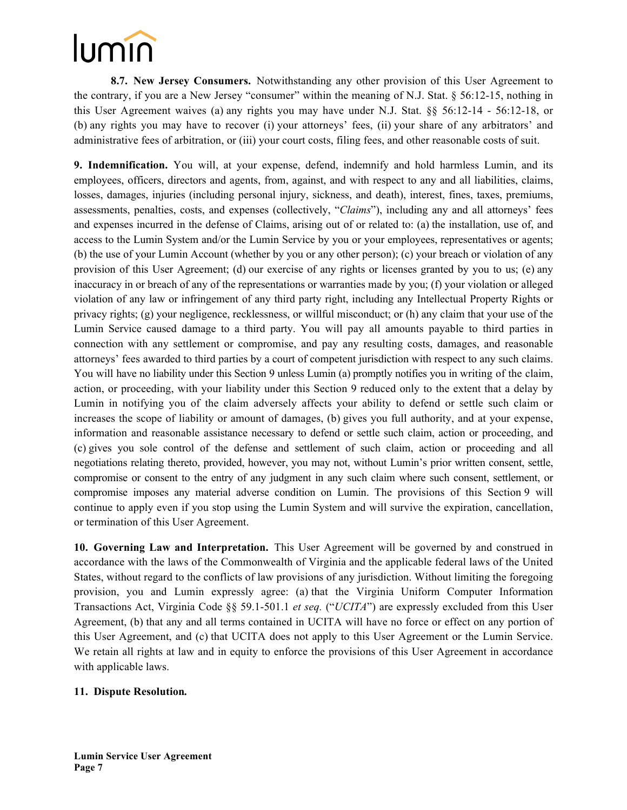**8.7. New Jersey Consumers.** Notwithstanding any other provision of this User Agreement to the contrary, if you are a New Jersey "consumer" within the meaning of N.J. Stat. § 56:12-15, nothing in this User Agreement waives (a) any rights you may have under N.J. Stat. §§ 56:12-14 - 56:12-18, or (b) any rights you may have to recover (i) your attorneys' fees, (ii) your share of any arbitrators' and administrative fees of arbitration, or (iii) your court costs, filing fees, and other reasonable costs of suit.

**9. Indemnification.** You will, at your expense, defend, indemnify and hold harmless Lumin, and its employees, officers, directors and agents, from, against, and with respect to any and all liabilities, claims, losses, damages, injuries (including personal injury, sickness, and death), interest, fines, taxes, premiums, assessments, penalties, costs, and expenses (collectively, "*Claims*"), including any and all attorneys' fees and expenses incurred in the defense of Claims, arising out of or related to: (a) the installation, use of, and access to the Lumin System and/or the Lumin Service by you or your employees, representatives or agents; (b) the use of your Lumin Account (whether by you or any other person); (c) your breach or violation of any provision of this User Agreement; (d) our exercise of any rights or licenses granted by you to us; (e) any inaccuracy in or breach of any of the representations or warranties made by you; (f) your violation or alleged violation of any law or infringement of any third party right, including any Intellectual Property Rights or privacy rights; (g) your negligence, recklessness, or willful misconduct; or (h) any claim that your use of the Lumin Service caused damage to a third party. You will pay all amounts payable to third parties in connection with any settlement or compromise, and pay any resulting costs, damages, and reasonable attorneys' fees awarded to third parties by a court of competent jurisdiction with respect to any such claims. You will have no liability under this Section 9 unless Lumin (a) promptly notifies you in writing of the claim, action, or proceeding, with your liability under this Section 9 reduced only to the extent that a delay by Lumin in notifying you of the claim adversely affects your ability to defend or settle such claim or increases the scope of liability or amount of damages, (b) gives you full authority, and at your expense, information and reasonable assistance necessary to defend or settle such claim, action or proceeding, and (c) gives you sole control of the defense and settlement of such claim, action or proceeding and all negotiations relating thereto, provided, however, you may not, without Lumin's prior written consent, settle, compromise or consent to the entry of any judgment in any such claim where such consent, settlement, or compromise imposes any material adverse condition on Lumin. The provisions of this Section 9 will continue to apply even if you stop using the Lumin System and will survive the expiration, cancellation, or termination of this User Agreement.

**10. Governing Law and Interpretation.** This User Agreement will be governed by and construed in accordance with the laws of the Commonwealth of Virginia and the applicable federal laws of the United States, without regard to the conflicts of law provisions of any jurisdiction. Without limiting the foregoing provision, you and Lumin expressly agree: (a) that the Virginia Uniform Computer Information Transactions Act, Virginia Code §§ 59.1-501.1 *et seq.* ("*UCITA*") are expressly excluded from this User Agreement, (b) that any and all terms contained in UCITA will have no force or effect on any portion of this User Agreement, and (c) that UCITA does not apply to this User Agreement or the Lumin Service. We retain all rights at law and in equity to enforce the provisions of this User Agreement in accordance with applicable laws.

### **11. Dispute Resolution***.*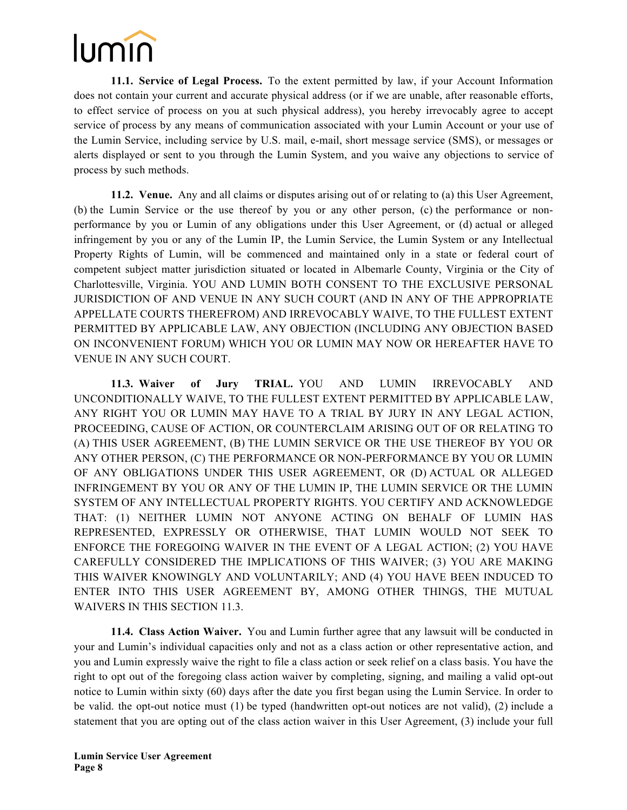**11.1. Service of Legal Process.** To the extent permitted by law, if your Account Information does not contain your current and accurate physical address (or if we are unable, after reasonable efforts, to effect service of process on you at such physical address), you hereby irrevocably agree to accept service of process by any means of communication associated with your Lumin Account or your use of the Lumin Service, including service by U.S. mail, e-mail, short message service (SMS), or messages or alerts displayed or sent to you through the Lumin System, and you waive any objections to service of process by such methods.

**11.2. Venue.** Any and all claims or disputes arising out of or relating to (a) this User Agreement, (b) the Lumin Service or the use thereof by you or any other person, (c) the performance or nonperformance by you or Lumin of any obligations under this User Agreement, or (d) actual or alleged infringement by you or any of the Lumin IP, the Lumin Service, the Lumin System or any Intellectual Property Rights of Lumin, will be commenced and maintained only in a state or federal court of competent subject matter jurisdiction situated or located in Albemarle County, Virginia or the City of Charlottesville, Virginia. YOU AND LUMIN BOTH CONSENT TO THE EXCLUSIVE PERSONAL JURISDICTION OF AND VENUE IN ANY SUCH COURT (AND IN ANY OF THE APPROPRIATE APPELLATE COURTS THEREFROM) AND IRREVOCABLY WAIVE, TO THE FULLEST EXTENT PERMITTED BY APPLICABLE LAW, ANY OBJECTION (INCLUDING ANY OBJECTION BASED ON INCONVENIENT FORUM) WHICH YOU OR LUMIN MAY NOW OR HEREAFTER HAVE TO VENUE IN ANY SUCH COURT.

**11.3. Waiver of Jury TRIAL.** YOU AND LUMIN IRREVOCABLY AND UNCONDITIONALLY WAIVE, TO THE FULLEST EXTENT PERMITTED BY APPLICABLE LAW, ANY RIGHT YOU OR LUMIN MAY HAVE TO A TRIAL BY JURY IN ANY LEGAL ACTION, PROCEEDING, CAUSE OF ACTION, OR COUNTERCLAIM ARISING OUT OF OR RELATING TO (A) THIS USER AGREEMENT, (B) THE LUMIN SERVICE OR THE USE THEREOF BY YOU OR ANY OTHER PERSON, (C) THE PERFORMANCE OR NON-PERFORMANCE BY YOU OR LUMIN OF ANY OBLIGATIONS UNDER THIS USER AGREEMENT, OR (D) ACTUAL OR ALLEGED INFRINGEMENT BY YOU OR ANY OF THE LUMIN IP, THE LUMIN SERVICE OR THE LUMIN SYSTEM OF ANY INTELLECTUAL PROPERTY RIGHTS. YOU CERTIFY AND ACKNOWLEDGE THAT: (1) NEITHER LUMIN NOT ANYONE ACTING ON BEHALF OF LUMIN HAS REPRESENTED, EXPRESSLY OR OTHERWISE, THAT LUMIN WOULD NOT SEEK TO ENFORCE THE FOREGOING WAIVER IN THE EVENT OF A LEGAL ACTION; (2) YOU HAVE CAREFULLY CONSIDERED THE IMPLICATIONS OF THIS WAIVER; (3) YOU ARE MAKING THIS WAIVER KNOWINGLY AND VOLUNTARILY; AND (4) YOU HAVE BEEN INDUCED TO ENTER INTO THIS USER AGREEMENT BY, AMONG OTHER THINGS, THE MUTUAL WAIVERS IN THIS SECTION 11.3.

**11.4. Class Action Waiver.** You and Lumin further agree that any lawsuit will be conducted in your and Lumin's individual capacities only and not as a class action or other representative action, and you and Lumin expressly waive the right to file a class action or seek relief on a class basis. You have the right to opt out of the foregoing class action waiver by completing, signing, and mailing a valid opt-out notice to Lumin within sixty (60) days after the date you first began using the Lumin Service. In order to be valid. the opt-out notice must (1) be typed (handwritten opt-out notices are not valid), (2) include a statement that you are opting out of the class action waiver in this User Agreement, (3) include your full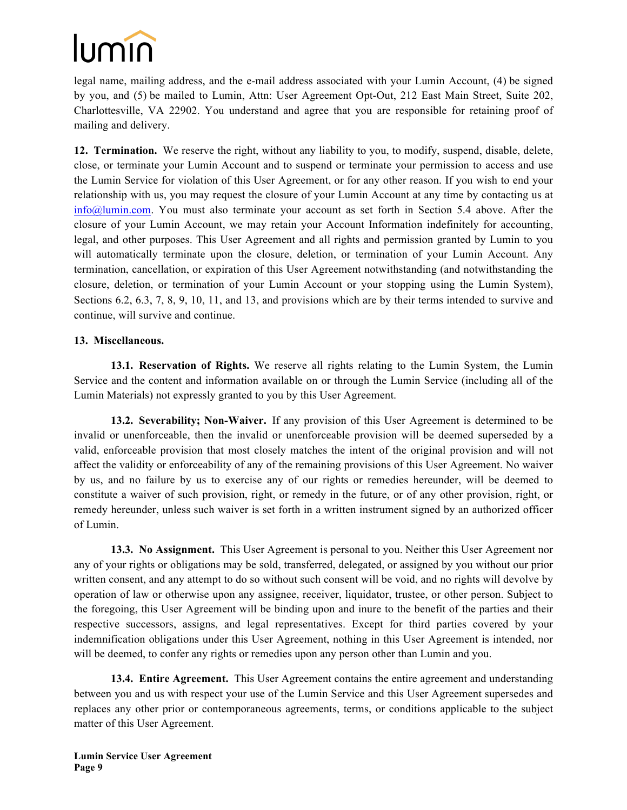

legal name, mailing address, and the e-mail address associated with your Lumin Account, (4) be signed by you, and (5) be mailed to Lumin, Attn: User Agreement Opt-Out, 212 East Main Street, Suite 202, Charlottesville, VA 22902. You understand and agree that you are responsible for retaining proof of mailing and delivery.

**12. Termination.** We reserve the right, without any liability to you, to modify, suspend, disable, delete, close, or terminate your Lumin Account and to suspend or terminate your permission to access and use the Lumin Service for violation of this User Agreement, or for any other reason. If you wish to end your relationship with us, you may request the closure of your Lumin Account at any time by contacting us at info@lumin.com. You must also terminate your account as set forth in Section 5.4 above. After the closure of your Lumin Account, we may retain your Account Information indefinitely for accounting, legal, and other purposes. This User Agreement and all rights and permission granted by Lumin to you will automatically terminate upon the closure, deletion, or termination of your Lumin Account. Any termination, cancellation, or expiration of this User Agreement notwithstanding (and notwithstanding the closure, deletion, or termination of your Lumin Account or your stopping using the Lumin System), Sections 6.2, 6.3, 7, 8, 9, 10, 11, and 13, and provisions which are by their terms intended to survive and continue, will survive and continue.

#### **13. Miscellaneous.**

**13.1. Reservation of Rights.** We reserve all rights relating to the Lumin System, the Lumin Service and the content and information available on or through the Lumin Service (including all of the Lumin Materials) not expressly granted to you by this User Agreement.

**13.2. Severability; Non-Waiver.** If any provision of this User Agreement is determined to be invalid or unenforceable, then the invalid or unenforceable provision will be deemed superseded by a valid, enforceable provision that most closely matches the intent of the original provision and will not affect the validity or enforceability of any of the remaining provisions of this User Agreement. No waiver by us, and no failure by us to exercise any of our rights or remedies hereunder, will be deemed to constitute a waiver of such provision, right, or remedy in the future, or of any other provision, right, or remedy hereunder, unless such waiver is set forth in a written instrument signed by an authorized officer of Lumin.

**13.3. No Assignment.** This User Agreement is personal to you. Neither this User Agreement nor any of your rights or obligations may be sold, transferred, delegated, or assigned by you without our prior written consent, and any attempt to do so without such consent will be void, and no rights will devolve by operation of law or otherwise upon any assignee, receiver, liquidator, trustee, or other person. Subject to the foregoing, this User Agreement will be binding upon and inure to the benefit of the parties and their respective successors, assigns, and legal representatives. Except for third parties covered by your indemnification obligations under this User Agreement, nothing in this User Agreement is intended, nor will be deemed, to confer any rights or remedies upon any person other than Lumin and you.

**13.4. Entire Agreement.** This User Agreement contains the entire agreement and understanding between you and us with respect your use of the Lumin Service and this User Agreement supersedes and replaces any other prior or contemporaneous agreements, terms, or conditions applicable to the subject matter of this User Agreement.